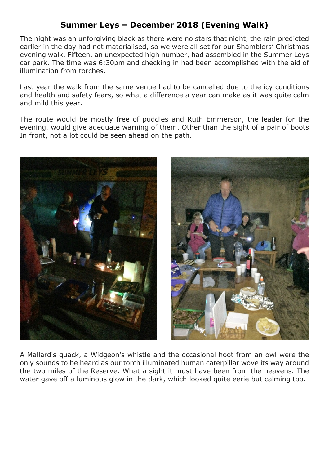## **Summer Leys – December 2018 (Evening Walk)**

The night was an unforgiving black as there were no stars that night, the rain predicted earlier in the day had not materialised, so we were all set for our Shamblers' Christmas evening walk. Fifteen, an unexpected high number, had assembled in the Summer Leys car park. The time was 6:30pm and checking in had been accomplished with the aid of illumination from torches.

Last year the walk from the same venue had to be cancelled due to the icy conditions and health and safety fears, so what a difference a year can make as it was quite calm and mild this year.

The route would be mostly free of puddles and Ruth Emmerson, the leader for the evening, would give adequate warning of them. Other than the sight of a pair of boots In front, not a lot could be seen ahead on the path.





A Mallard's quack, a Widgeon's whistle and the occasional hoot from an owl were the only sounds to be heard as our torch illuminated human caterpillar wove its way around the two miles of the Reserve. What a sight it must have been from the heavens. The water gave off a luminous glow in the dark, which looked quite eerie but calming too.